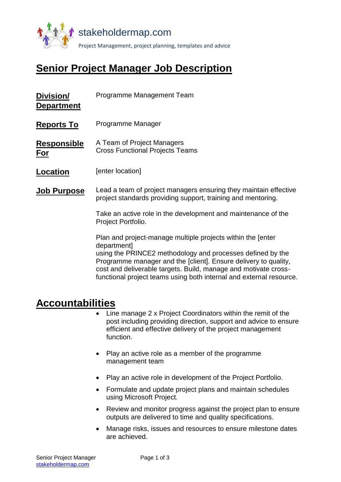

# **Senior Project Manager Job Description**

| Division/<br><b>Department</b> | Programme Management Team                                                                                                                                                                                                                                                                                                                             |
|--------------------------------|-------------------------------------------------------------------------------------------------------------------------------------------------------------------------------------------------------------------------------------------------------------------------------------------------------------------------------------------------------|
| <b>Reports To</b>              | Programme Manager                                                                                                                                                                                                                                                                                                                                     |
| <b>Responsible</b><br>For      | A Team of Project Managers<br><b>Cross Functional Projects Teams</b>                                                                                                                                                                                                                                                                                  |
| <b>Location</b>                | [enter location]                                                                                                                                                                                                                                                                                                                                      |
| <b>Job Purpose</b>             | Lead a team of project managers ensuring they maintain effective<br>project standards providing support, training and mentoring.                                                                                                                                                                                                                      |
|                                | Take an active role in the development and maintenance of the<br>Project Portfolio.                                                                                                                                                                                                                                                                   |
|                                | Plan and project-manage multiple projects within the [enter<br>department]<br>using the PRINCE2 methodology and processes defined by the<br>Programme manager and the [client]. Ensure delivery to quality,<br>cost and deliverable targets. Build, manage and motivate cross-<br>functional project teams using both internal and external resource. |

## **Accountabilities**

- Line manage 2 x Project Coordinators within the remit of the post including providing direction, support and advice to ensure efficient and effective delivery of the project management function.
- Play an active role as a member of the programme management team
- Play an active role in development of the Project Portfolio.
- Formulate and update project plans and maintain schedules using Microsoft Project.
- Review and monitor progress against the project plan to ensure outputs are delivered to time and quality specifications.
- Manage risks, issues and resources to ensure milestone dates are achieved.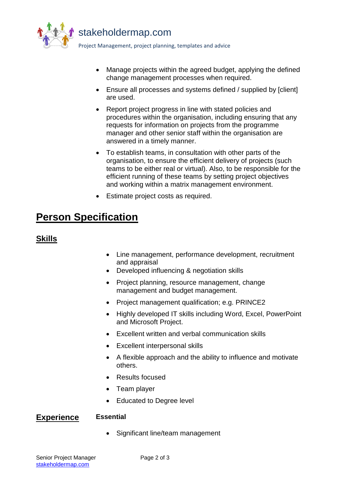

- Manage projects within the agreed budget, applying the defined change management processes when required.
- Ensure all processes and systems defined / supplied by [client] are used.
- Report project progress in line with stated policies and procedures within the organisation, including ensuring that any requests for information on projects from the programme manager and other senior staff within the organisation are answered in a timely manner.
- To establish teams, in consultation with other parts of the organisation, to ensure the efficient delivery of projects (such teams to be either real or virtual). Also, to be responsible for the efficient running of these teams by setting project objectives and working within a matrix management environment.
- Estimate project costs as required.

## **Person Specification**

## **Skills**

- Line management, performance development, recruitment and appraisal
- Developed influencing & negotiation skills
- Project planning, resource management, change management and budget management.
- Project management qualification; e.g. PRINCE2
- Highly developed IT skills including Word, Excel, PowerPoint and Microsoft Project.
- Excellent written and verbal communication skills
- Excellent interpersonal skills
- A flexible approach and the ability to influence and motivate others.
- Results focused
- Team player
- Educated to Degree level

### **Experience Essential**

• Significant line/team management